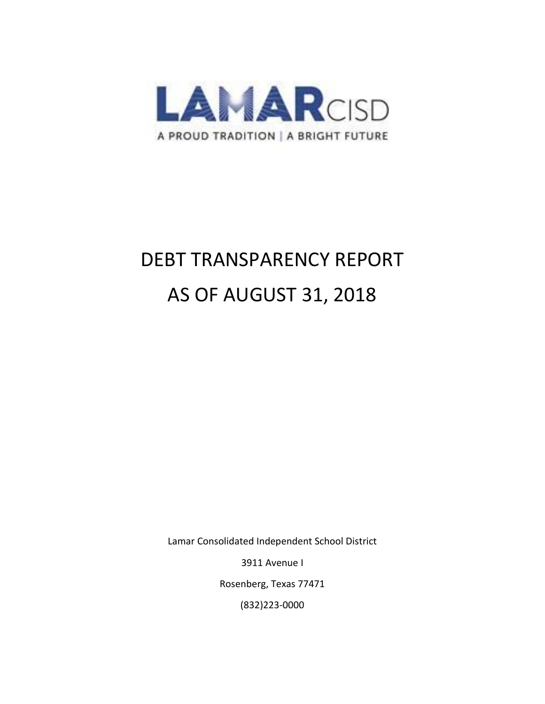

# DEBT TRANSPARENCY REPORT AS OF AUGUST 31, 2018

Lamar Consolidated Independent School District

3911 Avenue I

Rosenberg, Texas 77471

(832)223-0000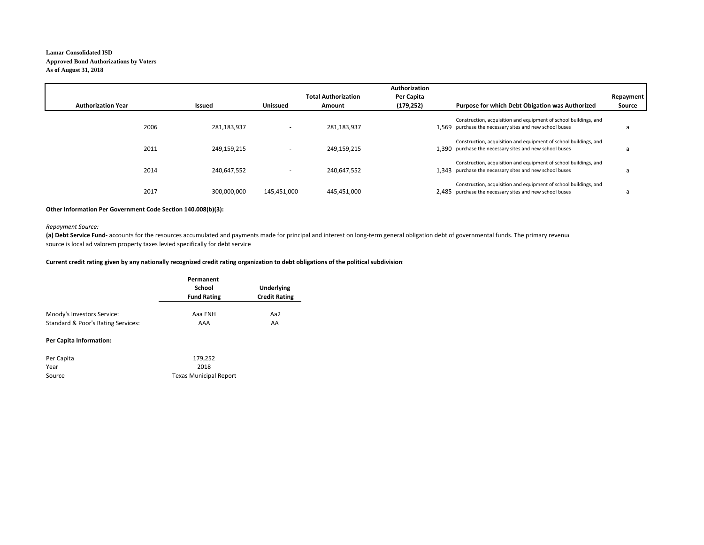#### **Lamar Consolidated ISDApproved Bond Authorizations by Voters As of August 31, 2018**

|                           |             |                          |                            | Authorization |                                                                                                                             |           |
|---------------------------|-------------|--------------------------|----------------------------|---------------|-----------------------------------------------------------------------------------------------------------------------------|-----------|
|                           |             |                          | <b>Total Authorization</b> | Per Capita    |                                                                                                                             | Repayment |
| <b>Authorization Year</b> | Issued      | <b>Unissued</b>          | Amount                     | (179, 252)    | Purpose for which Debt Obigation was Authorized                                                                             | Source    |
| 2006                      | 281,183,937 | $\overline{\phantom{a}}$ | 281,183,937                |               | Construction, acquisition and equipment of school buildings, and<br>1.569 purchase the necessary sites and new school buses | a         |
| 2011                      | 249,159,215 | $\overline{\phantom{a}}$ | 249,159,215                |               | Construction, acquisition and equipment of school buildings, and<br>1.390 purchase the necessary sites and new school buses | a         |
| 2014                      | 240.647.552 | $\overline{\phantom{a}}$ | 240.647.552                |               | Construction, acquisition and equipment of school buildings, and<br>1.343 purchase the necessary sites and new school buses | a         |
| 2017                      | 300,000,000 | 145,451,000              | 445,451,000                |               | Construction, acquisition and equipment of school buildings, and<br>2.485 purchase the necessary sites and new school buses | <b>a</b>  |

#### **Other Information Per Government Code Section 140.008(b)(3):**

#### *Repayment Source:*

(a) Debt Service Fund- accounts for the resources accumulated and payments made for principal and interest on long-term general obligation debt of governmental funds. The primary revenue source is local ad valorem property taxes levied specifically for debt service

#### Current credit rating given by any nationally recognized credit rating organization to debt obligations of the political subdivision:

| Permanent<br>School<br><b>Fund Rating</b> | Underlying<br><b>Credit Rating</b> |  |
|-------------------------------------------|------------------------------------|--|
| Aaa ENH                                   | Aa2                                |  |
| AAA                                       | AA                                 |  |
|                                           |                                    |  |

#### **Per Capita Information:**

| Per Capita | 179.252                       |
|------------|-------------------------------|
| Year       | 2018                          |
| Source     | <b>Texas Municipal Report</b> |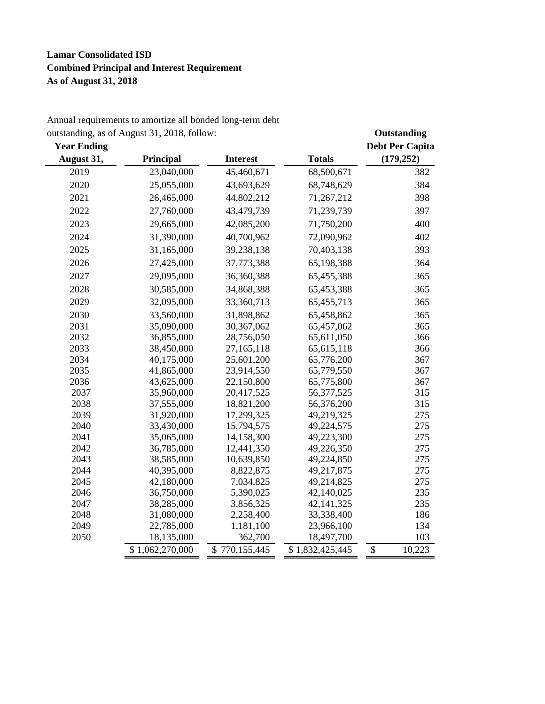## **Lamar Consolidated ISD Combined Principal and Interest Requirement As of August 31, 2018**

| Annual requirements to amortize all bonded long-term debt |
|-----------------------------------------------------------|
| outstanding, as of August 31, 2018, follow:               |

|                    | outstanding, as of August 31, 2018, follow: |                 |                 | Outstanding            |
|--------------------|---------------------------------------------|-----------------|-----------------|------------------------|
| <b>Year Ending</b> |                                             |                 |                 | <b>Debt Per Capita</b> |
| August 31,         | Principal                                   | <b>Interest</b> | <b>Totals</b>   | (179, 252)             |
| 2019               | 23,040,000                                  | 45,460,671      | 68,500,671      | 382                    |
| 2020               | 25,055,000                                  | 43,693,629      | 68,748,629      | 384                    |
| 2021               | 26,465,000                                  | 44,802,212      | 71,267,212      | 398                    |
| 2022               | 27,760,000                                  | 43,479,739      | 71,239,739      | 397                    |
| 2023               | 29,665,000                                  | 42,085,200      | 71,750,200      | 400                    |
| 2024               | 31,390,000                                  | 40,700,962      | 72,090,962      | 402                    |
| 2025               | 31,165,000                                  | 39,238,138      | 70,403,138      | 393                    |
| 2026               | 27,425,000                                  | 37,773,388      | 65,198,388      | 364                    |
| 2027               | 29,095,000                                  | 36,360,388      | 65,455,388      | 365                    |
| 2028               | 30,585,000                                  | 34,868,388      | 65,453,388      | 365                    |
| 2029               | 32,095,000                                  | 33,360,713      | 65,455,713      | 365                    |
| 2030               | 33,560,000                                  | 31,898,862      | 65,458,862      | 365                    |
| 2031               | 35,090,000                                  | 30,367,062      | 65,457,062      | 365                    |
| 2032               | 36,855,000                                  | 28,756,050      | 65,611,050      | 366                    |
| 2033               | 38,450,000                                  | 27,165,118      | 65, 615, 118    | 366                    |
| 2034               | 40,175,000                                  | 25,601,200      | 65,776,200      | 367                    |
| 2035               | 41,865,000                                  | 23,914,550      | 65,779,550      | 367                    |
| 2036               | 43,625,000                                  | 22,150,800      | 65,775,800      | 367                    |
| 2037               | 35,960,000                                  | 20,417,525      | 56, 377, 525    | 315                    |
| 2038               | 37,555,000                                  | 18,821,200      | 56,376,200      | 315                    |
| 2039               | 31,920,000                                  | 17,299,325      | 49,219,325      | 275                    |
| 2040               | 33,430,000                                  | 15,794,575      | 49,224,575      | 275                    |
| 2041               | 35,065,000                                  | 14,158,300      | 49,223,300      | 275                    |
| 2042               | 36,785,000                                  | 12,441,350      | 49,226,350      | 275                    |
| 2043               | 38,585,000                                  | 10,639,850      | 49,224,850      | 275                    |
| 2044               | 40,395,000                                  | 8,822,875       | 49,217,875      | 275                    |
| 2045               | 42,180,000                                  | 7,034,825       | 49,214,825      | 275                    |
| 2046               | 36,750,000                                  | 5,390,025       | 42,140,025      | 235                    |
| 2047               | 38,285,000                                  | 3,856,325       | 42, 141, 325    | 235                    |
| 2048               | 31,080,000                                  | 2,258,400       | 33,338,400      | 186                    |
| 2049               | 22,785,000                                  | 1,181,100       | 23,966,100      | 134                    |
| 2050               | 18,135,000                                  | 362,700         | 18,497,700      | 103                    |
|                    | \$1,062,270,000                             | \$770,155,445   | \$1,832,425,445 | \$<br>10,223           |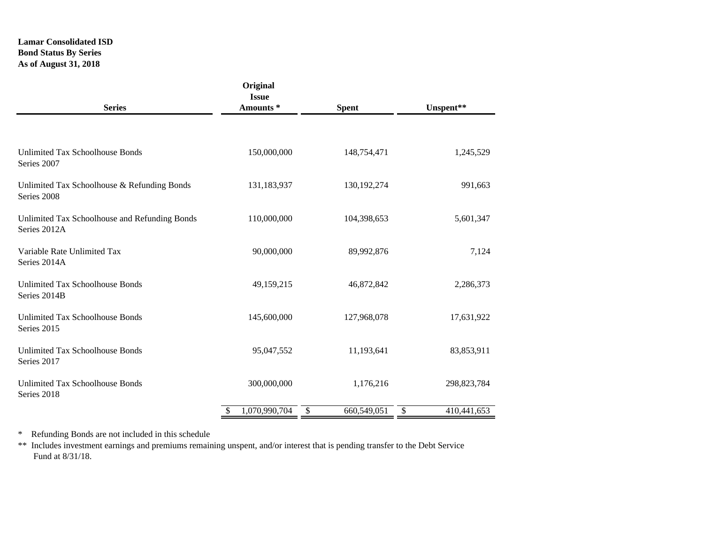## **Lamar Consolidated ISD Bond Status By Series As of August 31, 2018**

| <b>Series</b>                                                 | Original<br><b>Issue</b><br>Amounts* | <b>Spent</b>      | Unspent**         |
|---------------------------------------------------------------|--------------------------------------|-------------------|-------------------|
|                                                               |                                      |                   |                   |
| Unlimited Tax Schoolhouse Bonds<br>Series 2007                | 150,000,000                          | 148,754,471       | 1,245,529         |
| Unlimited Tax Schoolhouse & Refunding Bonds<br>Series 2008    | 131,183,937                          | 130, 192, 274     | 991,663           |
| Unlimited Tax Schoolhouse and Refunding Bonds<br>Series 2012A | 110,000,000                          | 104,398,653       | 5,601,347         |
| Variable Rate Unlimited Tax<br>Series 2014A                   | 90,000,000                           | 89,992,876        | 7,124             |
| Unlimited Tax Schoolhouse Bonds<br>Series 2014B               | 49,159,215                           | 46,872,842        | 2,286,373         |
| Unlimited Tax Schoolhouse Bonds<br>Series 2015                | 145,600,000                          | 127,968,078       | 17,631,922        |
| Unlimited Tax Schoolhouse Bonds<br>Series 2017                | 95,047,552                           | 11,193,641        | 83,853,911        |
| Unlimited Tax Schoolhouse Bonds<br>Series 2018                | 300,000,000                          | 1,176,216         | 298,823,784       |
|                                                               | 1,070,990,704<br>\$                  | 660,549,051<br>\$ | \$<br>410,441,653 |

\* Refunding Bonds are not included in this schedule

\*\* Includes investment earnings and premiums remaining unspent, and/or interest that is pending transfer to the Debt Service Fund at 8/31/18.